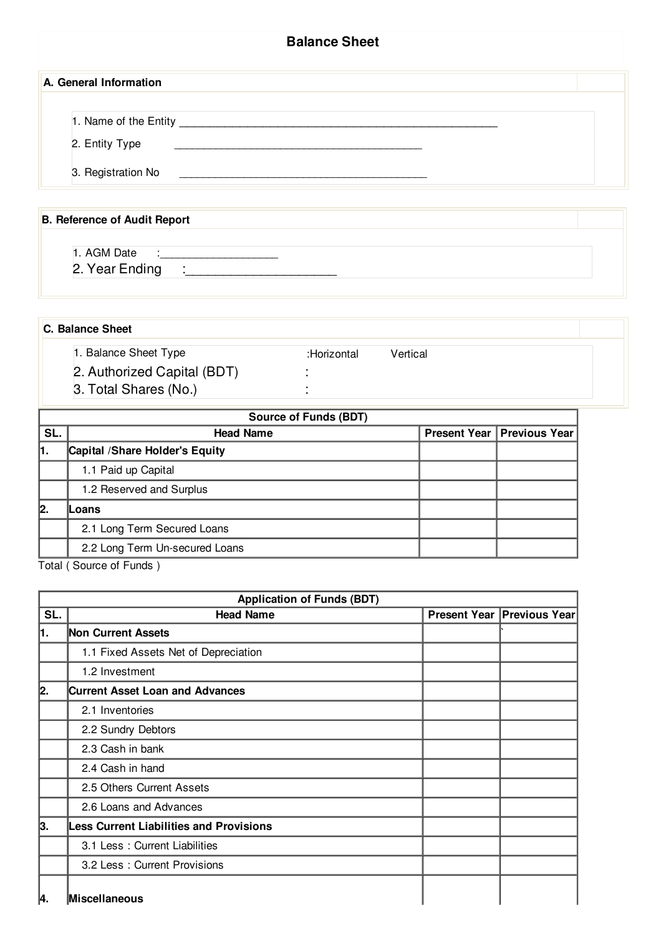| <b>Balance Sheet</b>                    |  |  |  |
|-----------------------------------------|--|--|--|
| A. General Information                  |  |  |  |
| 1. Name of the Entity<br>2. Entity Type |  |  |  |
| 3. Registration No                      |  |  |  |

## **B. Reference of Audit Report**

- 1. AGM Date :\_ 2. Year Ending :
- **C. Balance Sheet**
	- 1. Balance Sheet Type :Horizontal Vertical 2. Authorized Capital (BDT) : 3. Total Shares (No.) **:**

| <b>Source of Funds (BDT)</b>   |                                 |                                     |  |  |
|--------------------------------|---------------------------------|-------------------------------------|--|--|
| <b>Head Name</b>               |                                 | <b>Present Year   Previous Year</b> |  |  |
|                                |                                 |                                     |  |  |
| 1.1 Paid up Capital            |                                 |                                     |  |  |
| 1.2 Reserved and Surplus       |                                 |                                     |  |  |
| Loans                          |                                 |                                     |  |  |
| 2.1 Long Term Secured Loans    |                                 |                                     |  |  |
| 2.2 Long Term Un-secured Loans |                                 |                                     |  |  |
|                                | Capital / Share Holder's Equity |                                     |  |  |

Total ( Source of Funds )

|     | <b>Application of Funds (BDT)</b>              |  |                            |  |
|-----|------------------------------------------------|--|----------------------------|--|
| SL. | <b>Head Name</b>                               |  | Present Year Previous Year |  |
| 1.  | <b>Non Current Assets</b>                      |  |                            |  |
|     | 1.1 Fixed Assets Net of Depreciation           |  |                            |  |
|     | 1.2 Investment                                 |  |                            |  |
| 2.  | <b>Current Asset Loan and Advances</b>         |  |                            |  |
|     | 2.1 Inventories                                |  |                            |  |
|     | 2.2 Sundry Debtors                             |  |                            |  |
|     | 2.3 Cash in bank                               |  |                            |  |
|     | 2.4 Cash in hand                               |  |                            |  |
|     | 2.5 Others Current Assets                      |  |                            |  |
|     | 2.6 Loans and Advances                         |  |                            |  |
| 3.  | <b>Less Current Liabilities and Provisions</b> |  |                            |  |
|     | 3.1 Less: Current Liabilities                  |  |                            |  |
|     | 3.2 Less: Current Provisions                   |  |                            |  |
| 4.  | Miscellaneous                                  |  |                            |  |